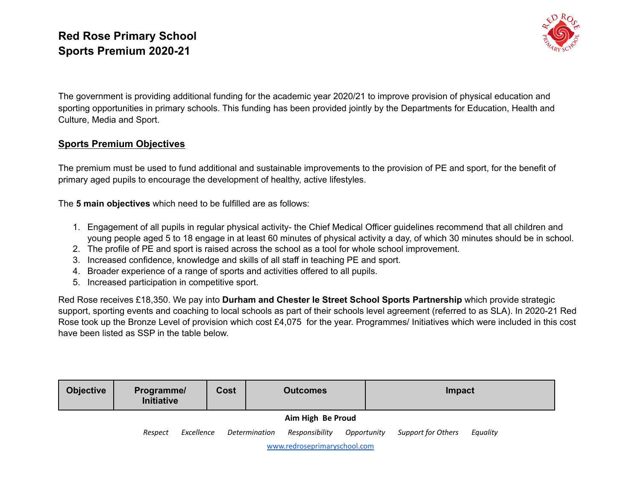

The government is providing additional funding for the academic year 2020/21 to improve provision of physical education and sporting opportunities in primary schools. This funding has been provided jointly by the Departments for Education, Health and Culture, Media and Sport.

#### **Sports Premium Objectives**

The premium must be used to fund additional and sustainable improvements to the provision of PE and sport, for the benefit of primary aged pupils to encourage the development of healthy, active lifestyles.

The **5 main objectives** which need to be fulfilled are as follows:

- 1. Engagement of all pupils in regular physical activity- the Chief Medical Officer guidelines recommend that all children and young people aged 5 to 18 engage in at least 60 minutes of physical activity a day, of which 30 minutes should be in school.
- 2. The profile of PE and sport is raised across the school as a tool for whole school improvement.
- 3. Increased confidence, knowledge and skills of all staff in teaching PE and sport.
- 4. Broader experience of a range of sports and activities offered to all pupils.
- 5. Increased participation in competitive sport.

Red Rose receives £18,350. We pay into **Durham and Chester le Street School Sports Partnership** which provide strategic support, sporting events and coaching to local schools as part of their schools level agreement (referred to as SLA). In 2020-21 Red Rose took up the Bronze Level of provision which cost £4,075 for the year. Programmes/ Initiatives which were included in this cost have been listed as SSP in the table below.

| <b>Objective</b>             | Programme/<br><b>Initiative</b> |            | Cost | <b>Outcomes</b> |                   |             | Impact             |          |  |  |
|------------------------------|---------------------------------|------------|------|-----------------|-------------------|-------------|--------------------|----------|--|--|
|                              |                                 |            |      |                 | Aim High Be Proud |             |                    |          |  |  |
|                              | Respect                         | Excellence |      | Determination   | Responsibility    | Opportunity | Support for Others | Equality |  |  |
| www.redroseprimaryschool.com |                                 |            |      |                 |                   |             |                    |          |  |  |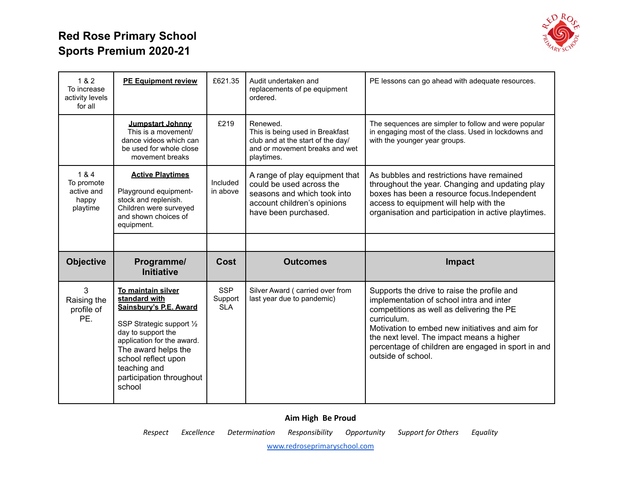

| 1 & 2<br>To increase<br>activity levels<br>for all     | <b>PE Equipment review</b>                                                                                                               | £621.35              | Audit undertaken and<br>replacements of pe equipment<br>ordered.                                                                                 | PE lessons can go ahead with adequate resources.                                                                                                                                                                                              |
|--------------------------------------------------------|------------------------------------------------------------------------------------------------------------------------------------------|----------------------|--------------------------------------------------------------------------------------------------------------------------------------------------|-----------------------------------------------------------------------------------------------------------------------------------------------------------------------------------------------------------------------------------------------|
|                                                        | Jumpstart Johnny<br>This is a movement/<br>dance videos which can<br>be used for whole close<br>movement breaks                          | £219                 | Renewed.<br>This is being used in Breakfast<br>club and at the start of the day/<br>and or movement breaks and wet<br>playtimes.                 | The sequences are simpler to follow and were popular<br>in engaging most of the class. Used in lockdowns and<br>with the younger year groups.                                                                                                 |
| 1 & 4<br>To promote<br>active and<br>happy<br>playtime | <b>Active Playtimes</b><br>Playground equipment-<br>stock and replenish.<br>Children were surveyed<br>and shown choices of<br>equipment. | Included<br>in above | A range of play equipment that<br>could be used across the<br>seasons and which took into<br>account children's opinions<br>have been purchased. | As bubbles and restrictions have remained<br>throughout the year. Changing and updating play<br>boxes has been a resource focus. Independent<br>access to equipment will help with the<br>organisation and participation in active playtimes. |
|                                                        |                                                                                                                                          |                      |                                                                                                                                                  |                                                                                                                                                                                                                                               |
|                                                        |                                                                                                                                          |                      |                                                                                                                                                  |                                                                                                                                                                                                                                               |
| <b>Objective</b>                                       | Programme/<br><b>Initiative</b>                                                                                                          | Cost                 | <b>Outcomes</b>                                                                                                                                  | Impact                                                                                                                                                                                                                                        |

#### **Aim High Be Proud**

*Respect Excellence Determination Responsibility Opportunity Support for Others Equality*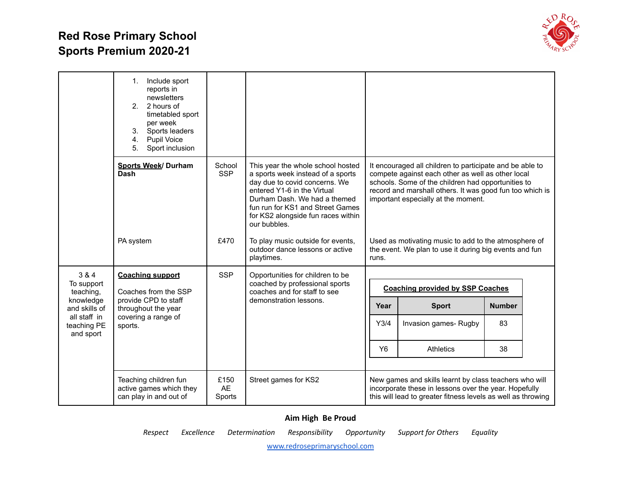

|                                          | Include sport<br>1.<br>reports in<br>newsletters<br>2 hours of<br>2 <sup>1</sup><br>timetabled sport<br>per week<br>Sports leaders<br>3.<br>4.<br>Pupil Voice<br>5.<br>Sport inclusion |                             |                                                                                                                                                                                                                                                                  |                |                                                                                                                                                                                                                                                                        |               |  |
|------------------------------------------|----------------------------------------------------------------------------------------------------------------------------------------------------------------------------------------|-----------------------------|------------------------------------------------------------------------------------------------------------------------------------------------------------------------------------------------------------------------------------------------------------------|----------------|------------------------------------------------------------------------------------------------------------------------------------------------------------------------------------------------------------------------------------------------------------------------|---------------|--|
|                                          | Sports Week/ Durham<br><b>Dash</b>                                                                                                                                                     | School<br><b>SSP</b>        | This year the whole school hosted<br>a sports week instead of a sports<br>day due to covid concerns. We<br>entered Y1-6 in the Virtual<br>Durham Dash. We had a themed<br>fun run for KS1 and Street Games<br>for KS2 alongside fun races within<br>our bubbles. |                | It encouraged all children to participate and be able to<br>compete against each other as well as other local<br>schools. Some of the children had opportunities to<br>record and marshall others. It was good fun too which is<br>important especially at the moment. |               |  |
|                                          | PA system                                                                                                                                                                              | £470                        | To play music outside for events,<br>outdoor dance lessons or active<br>playtimes.                                                                                                                                                                               | runs.          | Used as motivating music to add to the atmosphere of<br>the event. We plan to use it during big events and fun                                                                                                                                                         |               |  |
| 3 & 4<br>To support<br>teaching,         | <b>Coaching support</b><br>Coaches from the SSP                                                                                                                                        | <b>SSP</b>                  | Opportunities for children to be<br>coached by professional sports<br>coaches and for staff to see                                                                                                                                                               |                | <b>Coaching provided by SSP Coaches</b>                                                                                                                                                                                                                                |               |  |
| knowledge<br>and skills of               | provide CPD to staff<br>throughout the year                                                                                                                                            |                             | demonstration lessons.                                                                                                                                                                                                                                           | Year           | <b>Sport</b>                                                                                                                                                                                                                                                           | <b>Number</b> |  |
| all staff in<br>teaching PE<br>and sport | covering a range of<br>sports.                                                                                                                                                         |                             |                                                                                                                                                                                                                                                                  | Y3/4           | Invasion games-Rugby                                                                                                                                                                                                                                                   | 83            |  |
|                                          |                                                                                                                                                                                        |                             |                                                                                                                                                                                                                                                                  | Y <sub>6</sub> | <b>Athletics</b>                                                                                                                                                                                                                                                       | 38            |  |
|                                          |                                                                                                                                                                                        |                             |                                                                                                                                                                                                                                                                  |                |                                                                                                                                                                                                                                                                        |               |  |
|                                          | Teaching children fun<br>active games which they<br>can play in and out of                                                                                                             | £150<br><b>AE</b><br>Sports | Street games for KS2                                                                                                                                                                                                                                             |                | New games and skills learnt by class teachers who will<br>incorporate these in lessons over the year. Hopefully<br>this will lead to greater fitness levels as well as throwing                                                                                        |               |  |

#### **Aim High Be Proud**

*Respect Excellence Determination Responsibility Opportunity Support for Others Equality*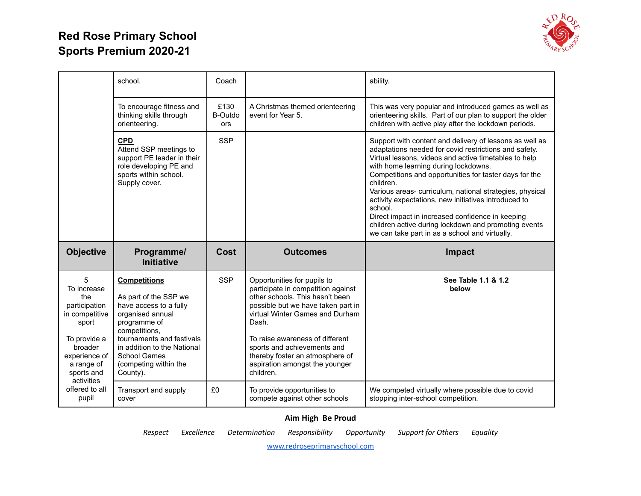

|                                                                                                                                                           | school.                                                                                                                                                                                                                                             | Coach                  |                                                                                                                                                                                                                                                                                                                                            | ability.                                                                                                                                                                                                                                                                                                                                                                                                                                                                                                                                                                             |
|-----------------------------------------------------------------------------------------------------------------------------------------------------------|-----------------------------------------------------------------------------------------------------------------------------------------------------------------------------------------------------------------------------------------------------|------------------------|--------------------------------------------------------------------------------------------------------------------------------------------------------------------------------------------------------------------------------------------------------------------------------------------------------------------------------------------|--------------------------------------------------------------------------------------------------------------------------------------------------------------------------------------------------------------------------------------------------------------------------------------------------------------------------------------------------------------------------------------------------------------------------------------------------------------------------------------------------------------------------------------------------------------------------------------|
|                                                                                                                                                           | To encourage fitness and<br>thinking skills through<br>orienteering.                                                                                                                                                                                | £130<br>B-Outdo<br>ors | A Christmas themed orienteering<br>event for Year 5.                                                                                                                                                                                                                                                                                       | This was very popular and introduced games as well as<br>orienteering skills. Part of our plan to support the older<br>children with active play after the lockdown periods.                                                                                                                                                                                                                                                                                                                                                                                                         |
|                                                                                                                                                           | <b>CPD</b><br>Attend SSP meetings to<br>support PE leader in their<br>role developing PE and<br>sports within school.<br>Supply cover.                                                                                                              | <b>SSP</b>             |                                                                                                                                                                                                                                                                                                                                            | Support with content and delivery of lessons as well as<br>adaptations needed for covid restrictions and safety.<br>Virtual lessons, videos and active timetables to help<br>with home learning during lockdowns.<br>Competitions and opportunities for taster days for the<br>children.<br>Various areas-curriculum, national strategies, physical<br>activity expectations, new initiatives introduced to<br>school.<br>Direct impact in increased confidence in keeping<br>children active during lockdown and promoting events<br>we can take part in as a school and virtually. |
|                                                                                                                                                           |                                                                                                                                                                                                                                                     |                        |                                                                                                                                                                                                                                                                                                                                            |                                                                                                                                                                                                                                                                                                                                                                                                                                                                                                                                                                                      |
| <b>Objective</b>                                                                                                                                          | Programme/<br><b>Initiative</b>                                                                                                                                                                                                                     | Cost                   | <b>Outcomes</b>                                                                                                                                                                                                                                                                                                                            | <b>Impact</b>                                                                                                                                                                                                                                                                                                                                                                                                                                                                                                                                                                        |
| 5<br>To increase<br>the<br>participation<br>in competitive<br>sport<br>To provide a<br>broader<br>experience of<br>a range of<br>sports and<br>activities | <b>Competitions</b><br>As part of the SSP we<br>have access to a fully<br>organised annual<br>programme of<br>competitions,<br>tournaments and festivals<br>in addition to the National<br><b>School Games</b><br>(competing within the<br>County). | <b>SSP</b>             | Opportunities for pupils to<br>participate in competition against<br>other schools. This hasn't been<br>possible but we have taken part in<br>virtual Winter Games and Durham<br>Dash.<br>To raise awareness of different<br>sports and achievements and<br>thereby foster an atmosphere of<br>aspiration amongst the younger<br>children. | See Table 1.1 & 1.2<br>below                                                                                                                                                                                                                                                                                                                                                                                                                                                                                                                                                         |

#### **Aim High Be Proud**

*Respect Excellence Determination Responsibility Opportunity Support for Others Equality*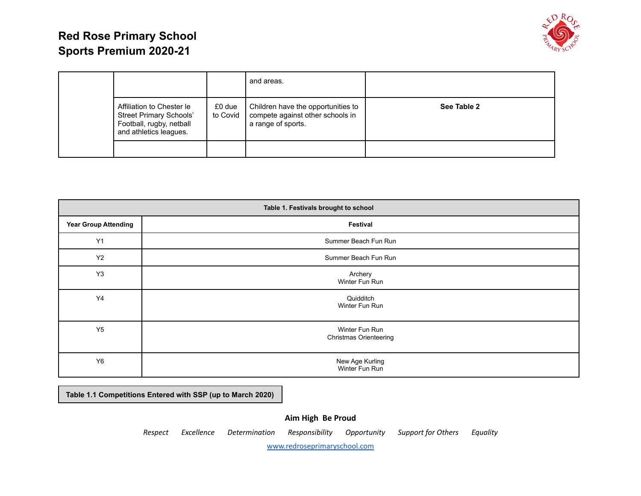

|                                                                                                                   |                    | and areas.                                                                                   |             |
|-------------------------------------------------------------------------------------------------------------------|--------------------|----------------------------------------------------------------------------------------------|-------------|
| Affiliation to Chester le<br><b>Street Primary Schools'</b><br>Football, rugby, netball<br>and athletics leagues. | £0 due<br>to Covid | Children have the opportunities to<br>compete against other schools in<br>a range of sports. | See Table 2 |
|                                                                                                                   |                    |                                                                                              |             |

| Table 1. Festivals brought to school |                                                 |  |  |  |  |
|--------------------------------------|-------------------------------------------------|--|--|--|--|
| <b>Year Group Attending</b>          | Festival                                        |  |  |  |  |
| Y1                                   | Summer Beach Fun Run                            |  |  |  |  |
| Y2                                   | Summer Beach Fun Run                            |  |  |  |  |
| Y <sub>3</sub>                       | Archery<br>Winter Fun Run                       |  |  |  |  |
| Y4                                   | Quidditch<br>Winter Fun Run                     |  |  |  |  |
| Y5                                   | Winter Fun Run<br><b>Christmas Orienteering</b> |  |  |  |  |
| Y <sub>6</sub>                       | New Age Kurling<br>Winter Fun Run               |  |  |  |  |

**Table 1.1 Competitions Entered with SSP (up to March 2020)**

#### **Aim High Be Proud**

*Respect Excellence Determination Responsibility Opportunity Support for Others Equality*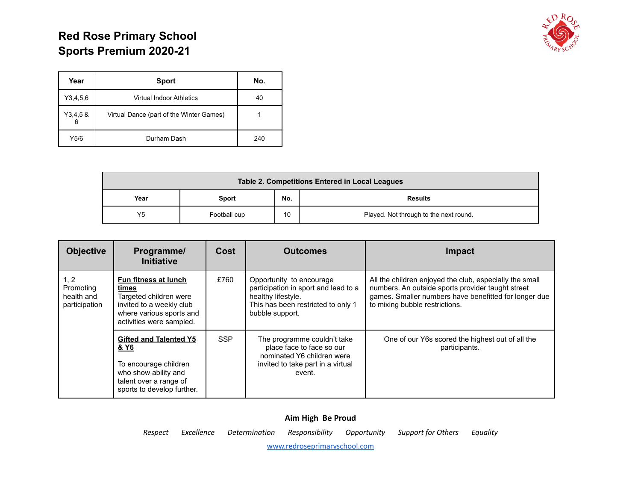

| Year         | <b>Sport</b>                             | No. |
|--------------|------------------------------------------|-----|
| Y3,4,5,6     | Virtual Indoor Athletics                 | 40  |
| Y3,4,58<br>6 | Virtual Dance (part of the Winter Games) |     |
| Y5/6         | Durham Dash                              | 240 |

| Table 2. Competitions Entered in Local Leagues |              |    |                                        |  |  |  |
|------------------------------------------------|--------------|----|----------------------------------------|--|--|--|
| No.<br>Year<br><b>Results</b><br>Sport         |              |    |                                        |  |  |  |
| Y5                                             | Football cup | 10 | Played. Not through to the next round. |  |  |  |

| <b>Objective</b>                                 | Programme/<br><b>Initiative</b>                                                                                                                                         | Cost | <b>Outcomes</b>                                                                                                                                 | <b>Impact</b>                                                                                                                                                                                           |  |
|--------------------------------------------------|-------------------------------------------------------------------------------------------------------------------------------------------------------------------------|------|-------------------------------------------------------------------------------------------------------------------------------------------------|---------------------------------------------------------------------------------------------------------------------------------------------------------------------------------------------------------|--|
| 1, 2<br>Promoting<br>health and<br>participation | Fun fitness at lunch<br>times<br>Targeted children were<br>invited to a weekly club<br>where various sports and<br>activities were sampled.                             | £760 | Opportunity to encourage<br>participation in sport and lead to a<br>healthy lifestyle.<br>This has been restricted to only 1<br>bubble support. | All the children enjoyed the club, especially the small<br>numbers. An outside sports provider taught street<br>games. Smaller numbers have benefitted for longer due<br>to mixing bubble restrictions. |  |
|                                                  | <b>SSP</b><br><b>Gifted and Talented Y5</b><br><u>&amp; Y6</u><br>To encourage children<br>who show ability and<br>talent over a range of<br>sports to develop further. |      | The programme couldn't take<br>place face to face so our<br>nominated Y6 children were<br>invited to take part in a virtual<br>event.           | One of our Y6s scored the highest out of all the<br>participants.                                                                                                                                       |  |

# **Aim High Be Proud** *Respect Excellence Determination Responsibility Opportunity Support for Others Equality*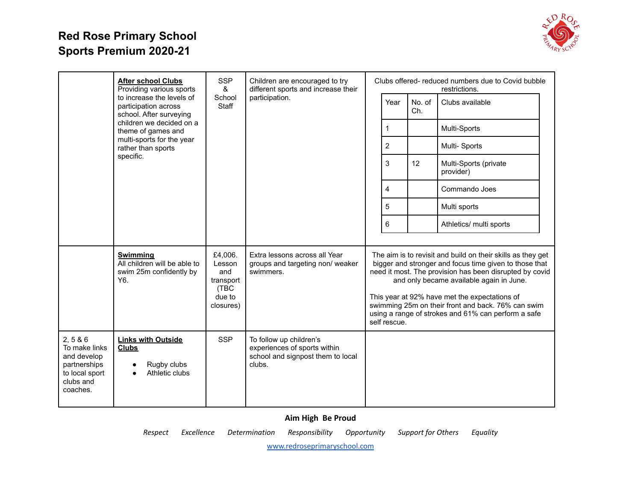

|                                                                                                   | <b>After school Clubs</b><br>Providing various sports                                                | <b>SSP</b><br>&                                                      | Children are encouraged to try<br>different sports and increase their                                  |  |                |               | Clubs offered-reduced numbers due to Covid bubble<br>restrictions.                                                                                                                                                                                                                                                                                                                         |  |
|---------------------------------------------------------------------------------------------------|------------------------------------------------------------------------------------------------------|----------------------------------------------------------------------|--------------------------------------------------------------------------------------------------------|--|----------------|---------------|--------------------------------------------------------------------------------------------------------------------------------------------------------------------------------------------------------------------------------------------------------------------------------------------------------------------------------------------------------------------------------------------|--|
|                                                                                                   | to increase the levels of<br>participation across<br>school. After surveying                         | School<br>Staff                                                      | participation.                                                                                         |  | Year           | No. of<br>Ch. | Clubs available                                                                                                                                                                                                                                                                                                                                                                            |  |
|                                                                                                   | children we decided on a<br>theme of games and                                                       |                                                                      |                                                                                                        |  | 1              |               | Multi-Sports                                                                                                                                                                                                                                                                                                                                                                               |  |
|                                                                                                   | multi-sports for the year<br>rather than sports                                                      |                                                                      |                                                                                                        |  | $\overline{2}$ |               | Multi-Sports                                                                                                                                                                                                                                                                                                                                                                               |  |
|                                                                                                   | specific.                                                                                            |                                                                      |                                                                                                        |  | 3              | 12            | Multi-Sports (private<br>provider)                                                                                                                                                                                                                                                                                                                                                         |  |
|                                                                                                   |                                                                                                      |                                                                      |                                                                                                        |  | 4              |               | Commando Joes                                                                                                                                                                                                                                                                                                                                                                              |  |
|                                                                                                   |                                                                                                      |                                                                      |                                                                                                        |  | 5              |               | Multi sports                                                                                                                                                                                                                                                                                                                                                                               |  |
|                                                                                                   |                                                                                                      |                                                                      |                                                                                                        |  | 6              |               | Athletics/ multi sports                                                                                                                                                                                                                                                                                                                                                                    |  |
|                                                                                                   | <b>Swimming</b><br>All children will be able to<br>swim 25m confidently by<br>Y <sub>6</sub>         | £4,006.<br>Lesson<br>and<br>transport<br>(TBC<br>due to<br>closures) | Extra lessons across all Year<br>groups and targeting non/ weaker<br>swimmers.                         |  | self rescue.   |               | The aim is to revisit and build on their skills as they get<br>bigger and stronger and focus time given to those that<br>need it most. The provision has been disrupted by covid<br>and only became available again in June.<br>This year at 92% have met the expectations of<br>swimming 25m on their front and back. 76% can swim<br>using a range of strokes and 61% can perform a safe |  |
| 2, 586<br>To make links<br>and develop<br>partnerships<br>to local sport<br>clubs and<br>coaches. | <b>Links with Outside</b><br><b>Clubs</b><br>Rugby clubs<br>$\bullet$<br>Athletic clubs<br>$\bullet$ | <b>SSP</b>                                                           | To follow up children's<br>experiences of sports within<br>school and signpost them to local<br>clubs. |  |                |               |                                                                                                                                                                                                                                                                                                                                                                                            |  |

#### **Aim High Be Proud**

*Respect Excellence Determination Responsibility Opportunity Support for Others Equality*